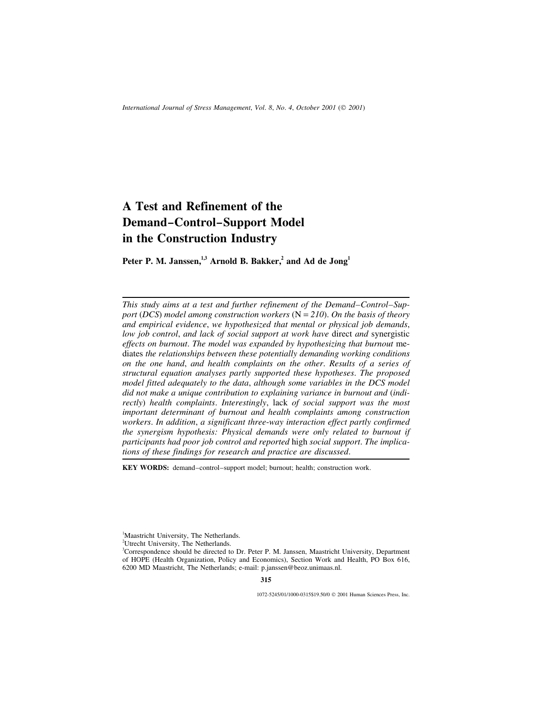# **A Test and Refinement of the Demand–Control–Support Model in the Construction Industry**

**Peter P. M. Janssen,1,3 Arnold B. Bakker,<sup>2</sup> and Ad de Jong<sup>1</sup>**

*This study aims at a test and further refinement of the Demand–Control–Support* (*DCS*) *model among construction workers* (N = *210*). *On the basis of theory and empirical evidence*, *we hypothesized that mental or physical job demands*, *low job control*, *and lack of social support at work have* direct *and* synergistic *effects on burnout*. *The model was expanded by hypothesizing that burnout* mediates *the relationships between these potentially demanding working conditions on the one hand*, *and health complaints on the other*. *Results of a series of structural equation analyses partly supported these hypotheses*. *The proposed model fitted adequately to the data*, *although some variables in the DCS model did not make a unique contribution to explaining variance in burnout and* (*indirectly*) *health complaints*. *Interestingly*, lack *of social support was the most important determinant of burnout and health complaints among construction workers*. *In addition*, *a significant three*-*way interaction effect partly confirmed the synergism hypothesis: Physical demands were only related to burnout if participants had poor job control and reported* high *social support*. *The implications of these findings for research and practice are discussed*.

**KEY WORDS:** demand–control–support model; burnout; health; construction work.

<sup>2</sup>Utrecht University, The Netherlands.

1072-5245/01/1000-0315\$19.50/0 2001 Human Sciences Press, Inc.

<sup>&</sup>lt;sup>1</sup>Maastricht University, The Netherlands.

<sup>&</sup>lt;sup>3</sup>Correspondence should be directed to Dr. Peter P. M. Janssen, Maastricht University, Department of HOPE (Health Organization, Policy and Economics), Section Work and Health, PO Box 616, 6200 MD Maastricht, The Netherlands; e-mail: p.janssen@beoz.unimaas.nl.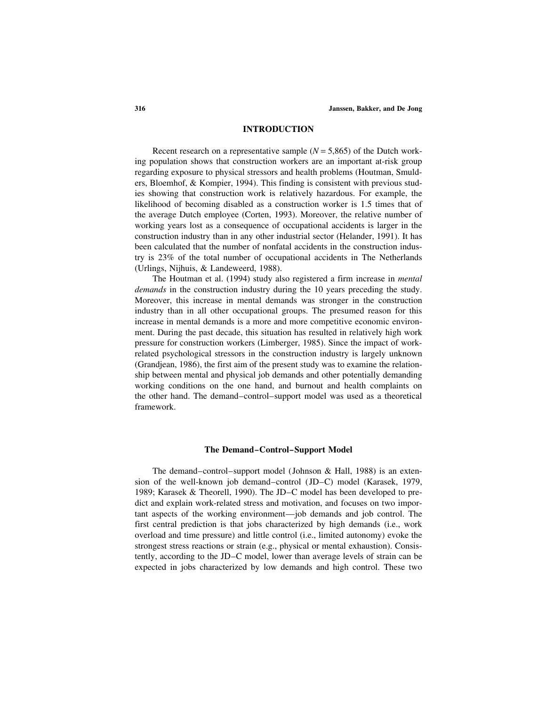### **INTRODUCTION**

Recent research on a representative sample  $(N = 5,865)$  of the Dutch working population shows that construction workers are an important at-risk group regarding exposure to physical stressors and health problems (Houtman, Smulders, Bloemhof, & Kompier, 1994). This finding is consistent with previous studies showing that construction work is relatively hazardous. For example, the likelihood of becoming disabled as a construction worker is 1.5 times that of the average Dutch employee (Corten, 1993). Moreover, the relative number of working years lost as a consequence of occupational accidents is larger in the construction industry than in any other industrial sector (Helander, 1991). It has been calculated that the number of nonfatal accidents in the construction industry is 23% of the total number of occupational accidents in The Netherlands (Urlings, Nijhuis, & Landeweerd, 1988).

The Houtman et al. (1994) study also registered a firm increase in *mental demands* in the construction industry during the 10 years preceding the study. Moreover, this increase in mental demands was stronger in the construction industry than in all other occupational groups. The presumed reason for this increase in mental demands is a more and more competitive economic environment. During the past decade, this situation has resulted in relatively high work pressure for construction workers (Limberger, 1985). Since the impact of workrelated psychological stressors in the construction industry is largely unknown (Grandjean, 1986), the first aim of the present study was to examine the relationship between mental and physical job demands and other potentially demanding working conditions on the one hand, and burnout and health complaints on the other hand. The demand–control–support model was used as a theoretical framework.

#### **The Demand–Control–Support Model**

The demand–control–support model (Johnson & Hall, 1988) is an extension of the well-known job demand–control (JD–C) model (Karasek, 1979, 1989; Karasek & Theorell, 1990). The JD–C model has been developed to predict and explain work-related stress and motivation, and focuses on two important aspects of the working environment—job demands and job control. The first central prediction is that jobs characterized by high demands (i.e., work overload and time pressure) and little control (i.e., limited autonomy) evoke the strongest stress reactions or strain (e.g., physical or mental exhaustion). Consistently, according to the JD–C model, lower than average levels of strain can be expected in jobs characterized by low demands and high control. These two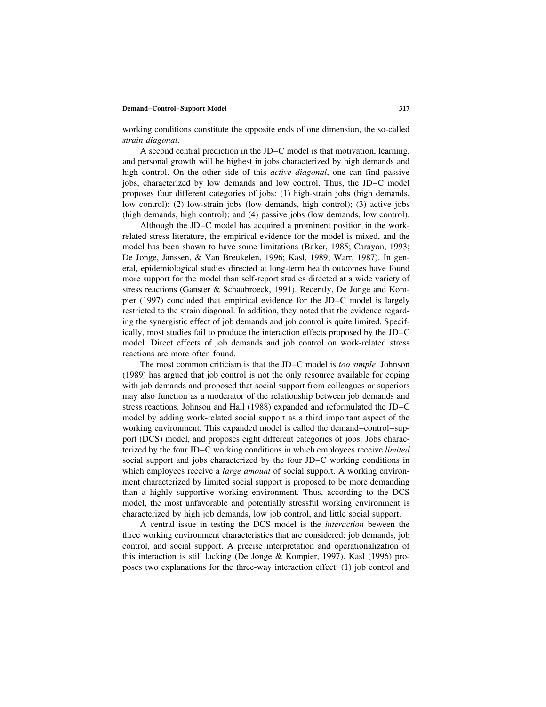working conditions constitute the opposite ends of one dimension, the so-called *strain diagonal*.

A second central prediction in the JD–C model is that motivation, learning, and personal growth will be highest in jobs characterized by high demands and high control. On the other side of this *active diagonal*, one can find passive jobs, characterized by low demands and low control. Thus, the JD–C model proposes four different categories of jobs: (1) high-strain jobs (high demands, low control); (2) low-strain jobs (low demands, high control); (3) active jobs (high demands, high control); and (4) passive jobs (low demands, low control).

Although the JD–C model has acquired a prominent position in the workrelated stress literature, the empirical evidence for the model is mixed, and the model has been shown to have some limitations (Baker, 1985; Carayon, 1993; De Jonge, Janssen, & Van Breukelen, 1996; Kasl, 1989; Warr, 1987). In general, epidemiological studies directed at long-term health outcomes have found more support for the model than self-report studies directed at a wide variety of stress reactions (Ganster & Schaubroeck, 1991). Recently, De Jonge and Kompier (1997) concluded that empirical evidence for the JD–C model is largely restricted to the strain diagonal. In addition, they noted that the evidence regarding the synergistic effect of job demands and job control is quite limited. Specifically, most studies fail to produce the interaction effects proposed by the JD–C model. Direct effects of job demands and job control on work-related stress reactions are more often found.

The most common criticism is that the JD–C model is *too simple*. Johnson (1989) has argued that job control is not the only resource available for coping with job demands and proposed that social support from colleagues or superiors may also function as a moderator of the relationship between job demands and stress reactions. Johnson and Hall (1988) expanded and reformulated the JD–C model by adding work-related social support as a third important aspect of the working environment. This expanded model is called the demand–control–support (DCS) model, and proposes eight different categories of jobs: Jobs characterized by the four JD–C working conditions in which employees receive *limited* social support and jobs characterized by the four JD–C working conditions in which employees receive a *large amount* of social support. A working environment characterized by limited social support is proposed to be more demanding than a highly supportive working environment. Thus, according to the DCS model, the most unfavorable and potentially stressful working environment is characterized by high job demands, low job control, and little social support.

A central issue in testing the DCS model is the *interaction* beween the three working environment characteristics that are considered: job demands, job control, and social support. A precise interpretation and operationalization of this interaction is still lacking (De Jonge & Kompier, 1997). Kasl (1996) proposes two explanations for the three-way interaction effect: (1) job control and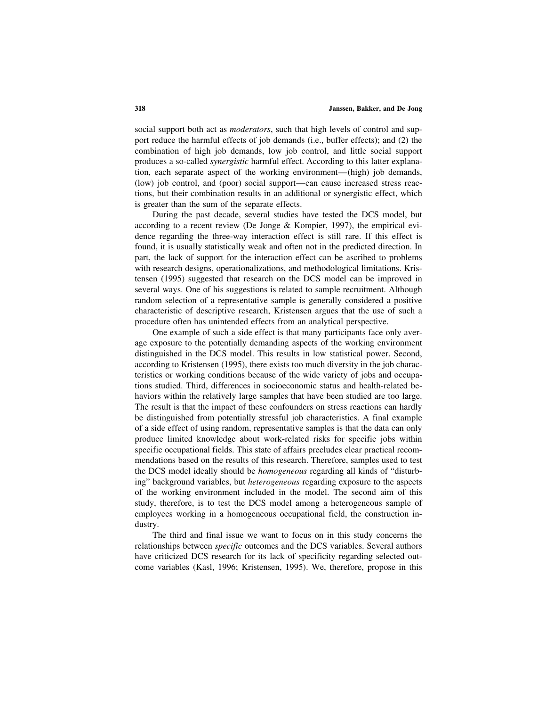social support both act as *moderators*, such that high levels of control and support reduce the harmful effects of job demands (i.e., buffer effects); and (2) the combination of high job demands, low job control, and little social support produces a so-called *synergistic* harmful effect. According to this latter explanation, each separate aspect of the working environment—(high) job demands, (low) job control, and (poor) social support—can cause increased stress reactions, but their combination results in an additional or synergistic effect, which is greater than the sum of the separate effects.

During the past decade, several studies have tested the DCS model, but according to a recent review (De Jonge & Kompier, 1997), the empirical evidence regarding the three-way interaction effect is still rare. If this effect is found, it is usually statistically weak and often not in the predicted direction. In part, the lack of support for the interaction effect can be ascribed to problems with research designs, operationalizations, and methodological limitations. Kristensen (1995) suggested that research on the DCS model can be improved in several ways. One of his suggestions is related to sample recruitment. Although random selection of a representative sample is generally considered a positive characteristic of descriptive research, Kristensen argues that the use of such a procedure often has unintended effects from an analytical perspective.

One example of such a side effect is that many participants face only average exposure to the potentially demanding aspects of the working environment distinguished in the DCS model. This results in low statistical power. Second, according to Kristensen (1995), there exists too much diversity in the job characteristics or working conditions because of the wide variety of jobs and occupations studied. Third, differences in socioeconomic status and health-related behaviors within the relatively large samples that have been studied are too large. The result is that the impact of these confounders on stress reactions can hardly be distinguished from potentially stressful job characteristics. A final example of a side effect of using random, representative samples is that the data can only produce limited knowledge about work-related risks for specific jobs within specific occupational fields. This state of affairs precludes clear practical recommendations based on the results of this research. Therefore, samples used to test the DCS model ideally should be *homogeneous* regarding all kinds of "disturbing" background variables, but *heterogeneous* regarding exposure to the aspects of the working environment included in the model. The second aim of this study, therefore, is to test the DCS model among a heterogeneous sample of employees working in a homogeneous occupational field, the construction industry.

The third and final issue we want to focus on in this study concerns the relationships between *specific* outcomes and the DCS variables. Several authors have criticized DCS research for its lack of specificity regarding selected outcome variables (Kasl, 1996; Kristensen, 1995). We, therefore, propose in this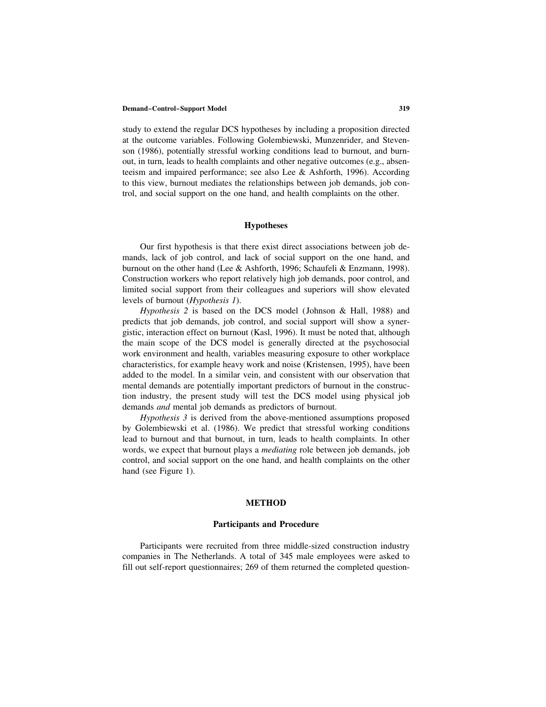study to extend the regular DCS hypotheses by including a proposition directed at the outcome variables. Following Golembiewski, Munzenrider, and Stevenson (1986), potentially stressful working conditions lead to burnout, and burnout, in turn, leads to health complaints and other negative outcomes (e.g., absenteeism and impaired performance; see also Lee & Ashforth, 1996). According to this view, burnout mediates the relationships between job demands, job control, and social support on the one hand, and health complaints on the other.

# **Hypotheses**

Our first hypothesis is that there exist direct associations between job demands, lack of job control, and lack of social support on the one hand, and burnout on the other hand (Lee & Ashforth, 1996; Schaufeli & Enzmann, 1998). Construction workers who report relatively high job demands, poor control, and limited social support from their colleagues and superiors will show elevated levels of burnout (*Hypothesis 1*).

*Hypothesis 2* is based on the DCS model (Johnson & Hall, 1988) and predicts that job demands, job control, and social support will show a synergistic, interaction effect on burnout (Kasl, 1996). It must be noted that, although the main scope of the DCS model is generally directed at the psychosocial work environment and health, variables measuring exposure to other workplace characteristics, for example heavy work and noise (Kristensen, 1995), have been added to the model. In a similar vein, and consistent with our observation that mental demands are potentially important predictors of burnout in the construction industry, the present study will test the DCS model using physical job demands *and* mental job demands as predictors of burnout.

*Hypothesis 3* is derived from the above-mentioned assumptions proposed by Golembiewski et al. (1986). We predict that stressful working conditions lead to burnout and that burnout, in turn, leads to health complaints. In other words, we expect that burnout plays a *mediating* role between job demands, job control, and social support on the one hand, and health complaints on the other hand (see Figure 1).

# **METHOD**

# **Participants and Procedure**

Participants were recruited from three middle-sized construction industry companies in The Netherlands. A total of 345 male employees were asked to fill out self-report questionnaires; 269 of them returned the completed question-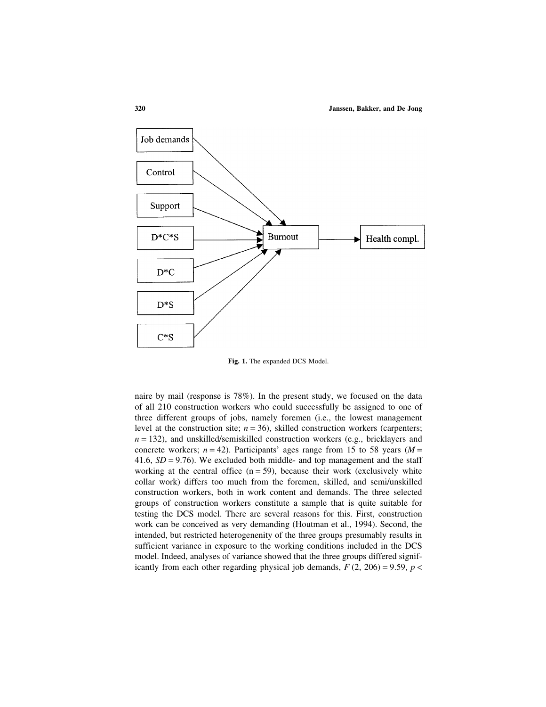

**Fig. 1.** The expanded DCS Model.

naire by mail (response is 78%). In the present study, we focused on the data of all 210 construction workers who could successfully be assigned to one of three different groups of jobs, namely foremen (i.e., the lowest management level at the construction site;  $n = 36$ ), skilled construction workers (carpenters;  $n = 132$ ), and unskilled/semiskilled construction workers (e.g., bricklayers and concrete workers;  $n = 42$ ). Participants' ages range from 15 to 58 years ( $M =$ 41.6,  $SD = 9.76$ ). We excluded both middle- and top management and the staff working at the central office  $(n = 59)$ , because their work (exclusively white collar work) differs too much from the foremen, skilled, and semi/unskilled construction workers, both in work content and demands. The three selected groups of construction workers constitute a sample that is quite suitable for testing the DCS model. There are several reasons for this. First, construction work can be conceived as very demanding (Houtman et al., 1994). Second, the intended, but restricted heterogenenity of the three groups presumably results in sufficient variance in exposure to the working conditions included in the DCS model. Indeed, analyses of variance showed that the three groups differed significantly from each other regarding physical job demands,  $F(2, 206) = 9.59$ ,  $p <$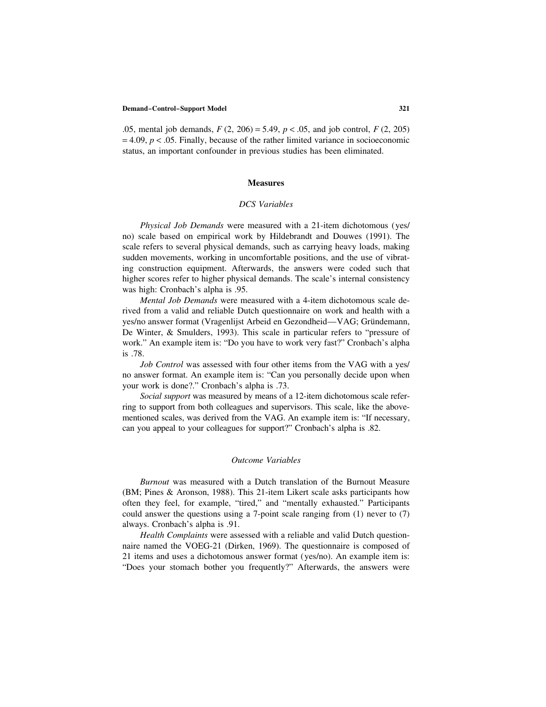.05, mental job demands, *F* (2, 206) = 5.49, *p* < .05, and job control, *F* (2, 205)  $= 4.09, p < .05$ . Finally, because of the rather limited variance in socioeconomic status, an important confounder in previous studies has been eliminated.

# **Measures**

# *DCS Variables*

*Physical Job Demands* were measured with a 21-item dichotomous (yes/ no) scale based on empirical work by Hildebrandt and Douwes (1991). The scale refers to several physical demands, such as carrying heavy loads, making sudden movements, working in uncomfortable positions, and the use of vibrating construction equipment. Afterwards, the answers were coded such that higher scores refer to higher physical demands. The scale's internal consistency was high: Cronbach's alpha is .95.

*Mental Job Demands* were measured with a 4-item dichotomous scale derived from a valid and reliable Dutch questionnaire on work and health with a yes/no answer format (Vragenlijst Arbeid en Gezondheid—VAG; Gründemann, De Winter, & Smulders, 1993). This scale in particular refers to "pressure of work." An example item is: "Do you have to work very fast?" Cronbach's alpha is .78.

*Job Control* was assessed with four other items from the VAG with a yes/ no answer format. An example item is: "Can you personally decide upon when your work is done?." Cronbach's alpha is .73.

*Social support* was measured by means of a 12-item dichotomous scale referring to support from both colleagues and supervisors. This scale, like the abovementioned scales, was derived from the VAG. An example item is: "If necessary, can you appeal to your colleagues for support?" Cronbach's alpha is .82.

# *Outcome Variables*

*Burnout* was measured with a Dutch translation of the Burnout Measure (BM; Pines & Aronson, 1988). This 21-item Likert scale asks participants how often they feel, for example, "tired," and "mentally exhausted." Participants could answer the questions using a 7-point scale ranging from (1) never to (7) always. Cronbach's alpha is .91.

*Health Complaints* were assessed with a reliable and valid Dutch questionnaire named the VOEG-21 (Dirken, 1969). The questionnaire is composed of 21 items and uses a dichotomous answer format (yes/no). An example item is: "Does your stomach bother you frequently?" Afterwards, the answers were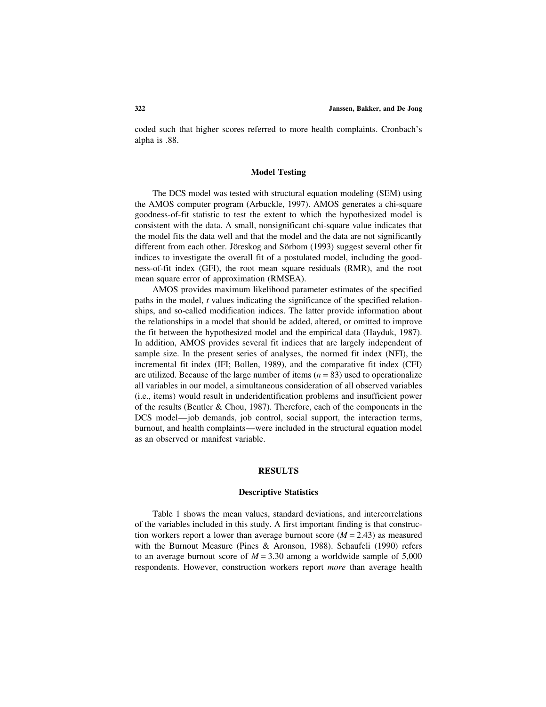coded such that higher scores referred to more health complaints. Cronbach's alpha is .88.

# **Model Testing**

The DCS model was tested with structural equation modeling (SEM) using the AMOS computer program (Arbuckle, 1997). AMOS generates a chi-square goodness-of-fit statistic to test the extent to which the hypothesized model is consistent with the data. A small, nonsignificant chi-square value indicates that the model fits the data well and that the model and the data are not significantly different from each other. Jöreskog and Sörbom (1993) suggest several other fit indices to investigate the overall fit of a postulated model, including the goodness-of-fit index (GFI), the root mean square residuals (RMR), and the root mean square error of approximation (RMSEA).

AMOS provides maximum likelihood parameter estimates of the specified paths in the model, *t* values indicating the significance of the specified relationships, and so-called modification indices. The latter provide information about the relationships in a model that should be added, altered, or omitted to improve the fit between the hypothesized model and the empirical data (Hayduk, 1987). In addition, AMOS provides several fit indices that are largely independent of sample size. In the present series of analyses, the normed fit index (NFI), the incremental fit index (IFI; Bollen, 1989), and the comparative fit index (CFI) are utilized. Because of the large number of items (*n* = 83) used to operationalize all variables in our model, a simultaneous consideration of all observed variables (i.e., items) would result in underidentification problems and insufficient power of the results (Bentler & Chou, 1987). Therefore, each of the components in the DCS model—job demands, job control, social support, the interaction terms, burnout, and health complaints—were included in the structural equation model as an observed or manifest variable.

# **RESULTS**

# **Descriptive Statistics**

Table 1 shows the mean values, standard deviations, and intercorrelations of the variables included in this study. A first important finding is that construction workers report a lower than average burnout score  $(M = 2.43)$  as measured with the Burnout Measure (Pines & Aronson, 1988). Schaufeli (1990) refers to an average burnout score of  $M = 3.30$  among a worldwide sample of 5,000 respondents. However, construction workers report *more* than average health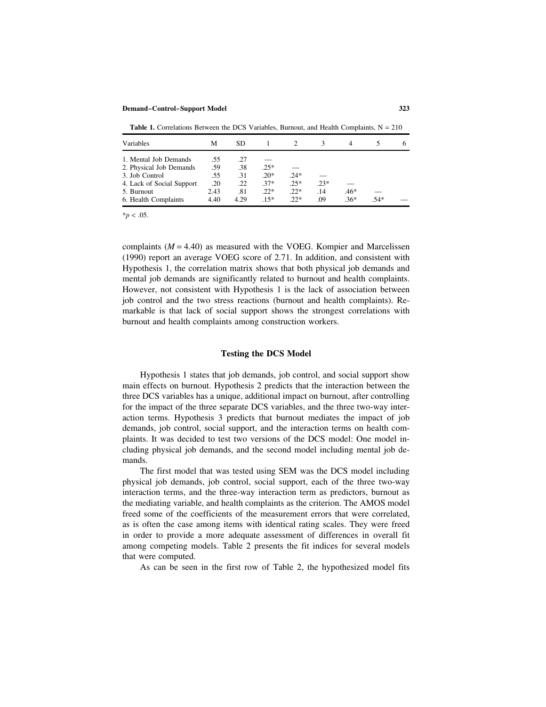**Table 1.** Correlations Between the DCS Variables, Burnout, and Health Complaints,  $N = 210$ 

| Variables                 | М       | SD.  |        |        |        |        |      |  |
|---------------------------|---------|------|--------|--------|--------|--------|------|--|
| 1. Mental Job Demands     | .55     | .27  |        |        |        |        |      |  |
| 2. Physical Job Demands   | .59     | .38  | $.25*$ |        |        |        |      |  |
| 3. Job Control            | .55     | .31  | $.20*$ | $.24*$ |        |        |      |  |
| 4. Lack of Social Support | $.20\,$ | .22  | $.37*$ | $.25*$ | $.23*$ |        |      |  |
| 5. Burnout                | 2.43    | .81  | $.22*$ | $22*$  | .14    | $.46*$ |      |  |
| 6. Health Complaints      | 4.40    | 4.29 | $15*$  | $22*$  | .09    | $36*$  | .54* |  |

 $*$ *p* < .05.

complaints  $(M = 4.40)$  as measured with the VOEG. Kompier and Marcelissen (1990) report an average VOEG score of 2.71. In addition, and consistent with Hypothesis 1, the correlation matrix shows that both physical job demands and mental job demands are significantly related to burnout and health complaints. However, not consistent with Hypothesis 1 is the lack of association between job control and the two stress reactions (burnout and health complaints). Remarkable is that lack of social support shows the strongest correlations with burnout and health complaints among construction workers.

# **Testing the DCS Model**

Hypothesis 1 states that job demands, job control, and social support show main effects on burnout. Hypothesis 2 predicts that the interaction between the three DCS variables has a unique, additional impact on burnout, after controlling for the impact of the three separate DCS variables, and the three two-way interaction terms. Hypothesis 3 predicts that burnout mediates the impact of job demands, job control, social support, and the interaction terms on health complaints. It was decided to test two versions of the DCS model: One model including physical job demands, and the second model including mental job demands.

The first model that was tested using SEM was the DCS model including physical job demands, job control, social support, each of the three two-way interaction terms, and the three-way interaction term as predictors, burnout as the mediating variable, and health complaints as the criterion. The AMOS model freed some of the coefficients of the measurement errors that were correlated, as is often the case among items with identical rating scales. They were freed in order to provide a more adequate assessment of differences in overall fit among competing models. Table 2 presents the fit indices for several models that were computed.

As can be seen in the first row of Table 2, the hypothesized model fits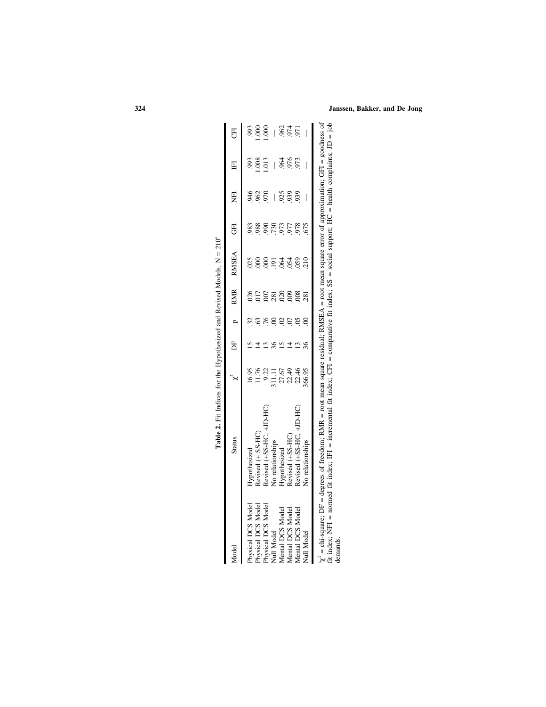|                    | <b>Lable <math>\omega</math>, in the <math>\omega</math> is the state of the contract of the state of the contract of <math>\omega</math> is <math>\omega</math> is <math>\omega</math> is <math>\omega</math> is <math>\omega</math> is <math>\omega</math> is <math>\omega</math> is <math>\omega</math> is <math>\omega</math> is <math>\omega</math> is <math>\omega</math> is <math>\omega</math> is <math>\omega</math> is <math>\omega</math> is <math>\omega</math> is <math>\omega</math> is <math>\omega</math> is</b> |                                                                |                |                  |          |                                     |                          |                            |                  |
|--------------------|----------------------------------------------------------------------------------------------------------------------------------------------------------------------------------------------------------------------------------------------------------------------------------------------------------------------------------------------------------------------------------------------------------------------------------------------------------------------------------------------------------------------------------|----------------------------------------------------------------|----------------|------------------|----------|-------------------------------------|--------------------------|----------------------------|------------------|
| Model              | <b>Status</b>                                                                                                                                                                                                                                                                                                                                                                                                                                                                                                                    |                                                                | DF p           | RMR              | RMSEA    | <b>GFI</b>                          | EI                       | $\mathbb{H}$               | E                |
| Physical DCS Model | Hypothesized                                                                                                                                                                                                                                                                                                                                                                                                                                                                                                                     | 16.95                                                          |                | 026              |          |                                     |                          | 993                        |                  |
| Physical DCS Model | Revised (+ SS-HC)                                                                                                                                                                                                                                                                                                                                                                                                                                                                                                                |                                                                |                |                  |          |                                     | 385<br>28                | .008                       | 38<br>001<br>001 |
| Physical DCS Model | Revised (+SS-HC, +JD-HC)                                                                                                                                                                                                                                                                                                                                                                                                                                                                                                         |                                                                | 76             |                  |          |                                     |                          | .013                       |                  |
| Null Model         | No relationships                                                                                                                                                                                                                                                                                                                                                                                                                                                                                                                 |                                                                |                |                  |          |                                     | $\overline{\phantom{a}}$ |                            |                  |
| Mental DCS Model   | Hypothesized                                                                                                                                                                                                                                                                                                                                                                                                                                                                                                                     |                                                                |                | $\frac{58}{300}$ |          |                                     |                          |                            |                  |
| Mental DCS Model   | Revised (+SS-HC)                                                                                                                                                                                                                                                                                                                                                                                                                                                                                                                 |                                                                |                | 009              |          |                                     | 33<br>333                | 8<br>8<br>8<br>8<br>8<br>9 | 8555             |
| Mental DCS Model   | Revised (+SS-HC, +JD-HC)                                                                                                                                                                                                                                                                                                                                                                                                                                                                                                         | $11.76$<br>9.22<br>9.11.11<br>27.67<br>22.46<br>22.46<br>22.46 | $\overline{0}$ | 008              | 88858888 | 388857586.<br>388657588.<br>3886758 |                          |                            |                  |
| Null Model         | No relationships                                                                                                                                                                                                                                                                                                                                                                                                                                                                                                                 |                                                                |                | 281              |          |                                     |                          |                            |                  |
|                    | $\chi^2 =$ chi-square; DF = degrees of freedom; RMR = root mean square residual; RMSEA = root mean square error of approximation; GFI = goodness of                                                                                                                                                                                                                                                                                                                                                                              |                                                                |                |                  |          |                                     |                          |                            |                  |

**Table 2.** Fit Indices for the Hypothesized and Revised Models,  $N = 210^{\circ}$ **Table 2.** Fit Indices for the Hypothesized and Revised Models,  $N = 210<sup>a</sup>$   $\chi = \text{cm-square}; \text{D}r = \text{degrees of freedom}; \text{KWR} = \text{root near square residual}; \text{KWAE} = \text{root near square total}$ <br>fit index; NFI = normed fit index; IFI = incremental fit index; CFI = comparative fit index; SS = social support; HC = health complaints; JD = job<br>demands. fit index; NFI = normed fit index; IFI = incremental fit index; CFI = comparative fit index; SS = social support; HC = health complaints; JD = job

demands.

# **324 Janssen, Bakker, and De Jong**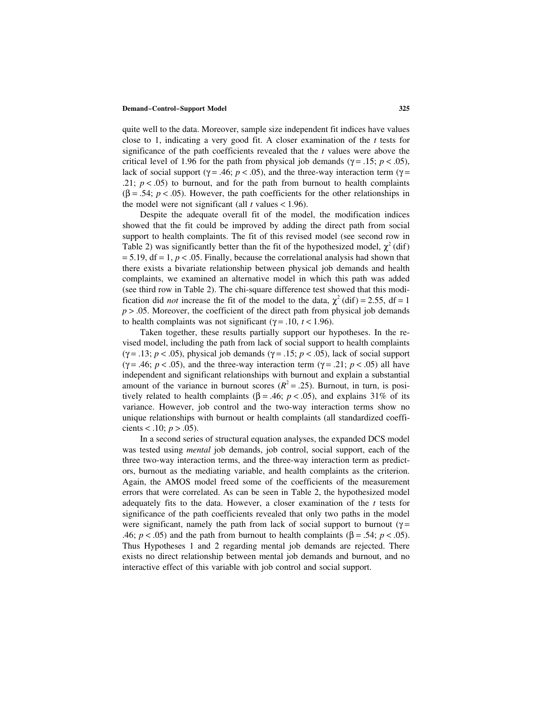quite well to the data. Moreover, sample size independent fit indices have values close to 1, indicating a very good fit. A closer examination of the *t* tests for significance of the path coefficients revealed that the *t* values were above the critical level of 1.96 for the path from physical job demands ( $γ = .15$ ;  $p < .05$ ), lack of social support ( $\gamma$  = .46; *p* < .05), and the three-way interaction term ( $\gamma$  = .21;  $p < .05$ ) to burnout, and for the path from burnout to health complaints  $(\beta = .54; p < .05)$ . However, the path coefficients for the other relationships in the model were not significant (all  $t$  values < 1.96).

Despite the adequate overall fit of the model, the modification indices showed that the fit could be improved by adding the direct path from social support to health complaints. The fit of this revised model (see second row in Table 2) was significantly better than the fit of the hypothesized model,  $\chi^2$  (dif)  $= 5.19$ , df  $= 1, p < .05$ . Finally, because the correlational analysis had shown that there exists a bivariate relationship between physical job demands and health complaints, we examined an alternative model in which this path was added (see third row in Table 2). The chi-square difference test showed that this modification did *not* increase the fit of the model to the data,  $\chi^2$  (dif) = 2.55, df = 1  $p > 0.05$ . Moreover, the coefficient of the direct path from physical job demands to health complaints was not significant ( $\gamma$  = .10, *t* < 1.96).

Taken together, these results partially support our hypotheses. In the revised model, including the path from lack of social support to health complaints ( $\gamma$  = .13; *p* < .05), physical job demands ( $\gamma$  = .15; *p* < .05), lack of social support ( $\gamma$  = .46; *p* < .05), and the three-way interaction term ( $\gamma$  = .21; *p* < .05) all have independent and significant relationships with burnout and explain a substantial amount of the variance in burnout scores  $(R^2 = .25)$ . Burnout, in turn, is positively related to health complaints ( $\beta$  = .46; *p* < .05), and explains 31% of its variance. However, job control and the two-way interaction terms show no unique relationships with burnout or health complaints (all standardized coefficients < .10;  $p > .05$ ).

In a second series of structural equation analyses, the expanded DCS model was tested using *mental* job demands, job control, social support, each of the three two-way interaction terms, and the three-way interaction term as predictors, burnout as the mediating variable, and health complaints as the criterion. Again, the AMOS model freed some of the coefficients of the measurement errors that were correlated. As can be seen in Table 2, the hypothesized model adequately fits to the data. However, a closer examination of the *t* tests for significance of the path coefficients revealed that only two paths in the model were significant, namely the path from lack of social support to burnout ( $\gamma$  = .46;  $p < .05$ ) and the path from burnout to health complaints ( $\beta = .54$ ;  $p < .05$ ). Thus Hypotheses 1 and 2 regarding mental job demands are rejected. There exists no direct relationship between mental job demands and burnout, and no interactive effect of this variable with job control and social support.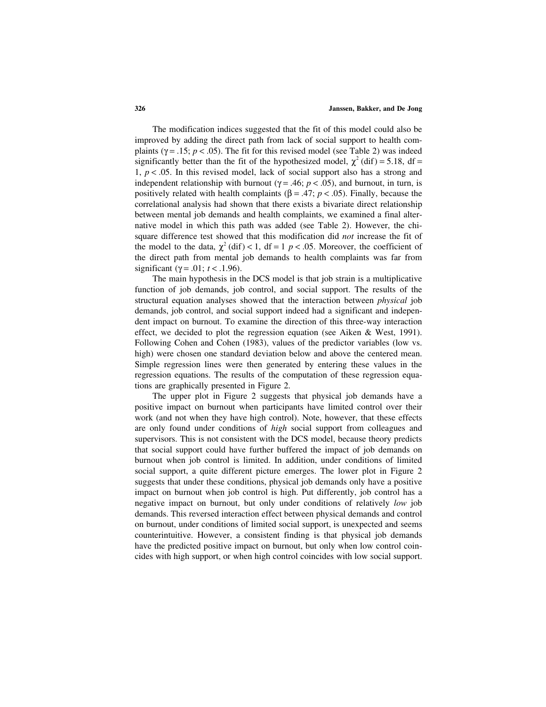The modification indices suggested that the fit of this model could also be improved by adding the direct path from lack of social support to health complaints ( $\gamma$  = .15;  $p$  < .05). The fit for this revised model (see Table 2) was indeed significantly better than the fit of the hypothesized model,  $\chi^2$  (dif) = 5.18, df = 1,  $p < .05$ . In this revised model, lack of social support also has a strong and independent relationship with burnout ( $\gamma$  = .46; *p* < .05), and burnout, in turn, is positively related with health complaints ( $\beta$  = .47; *p* < .05). Finally, because the correlational analysis had shown that there exists a bivariate direct relationship between mental job demands and health complaints, we examined a final alternative model in which this path was added (see Table 2). However, the chisquare difference test showed that this modification did *not* increase the fit of the model to the data,  $\chi^2$  (dif) < 1, df = 1 *p* < .05. Moreover, the coefficient of the direct path from mental job demands to health complaints was far from significant ( $\gamma$  = .01; *t* < .1.96).

The main hypothesis in the DCS model is that job strain is a multiplicative function of job demands, job control, and social support. The results of the structural equation analyses showed that the interaction between *physical* job demands, job control, and social support indeed had a significant and independent impact on burnout. To examine the direction of this three-way interaction effect, we decided to plot the regression equation (see Aiken & West, 1991). Following Cohen and Cohen (1983), values of the predictor variables (low vs. high) were chosen one standard deviation below and above the centered mean. Simple regression lines were then generated by entering these values in the regression equations. The results of the computation of these regression equations are graphically presented in Figure 2.

The upper plot in Figure 2 suggests that physical job demands have a positive impact on burnout when participants have limited control over their work (and not when they have high control). Note, however, that these effects are only found under conditions of *high* social support from colleagues and supervisors. This is not consistent with the DCS model, because theory predicts that social support could have further buffered the impact of job demands on burnout when job control is limited. In addition, under conditions of limited social support, a quite different picture emerges. The lower plot in Figure 2 suggests that under these conditions, physical job demands only have a positive impact on burnout when job control is high. Put differently, job control has a negative impact on burnout, but only under conditions of relatively *low* job demands. This reversed interaction effect between physical demands and control on burnout, under conditions of limited social support, is unexpected and seems counterintuitive. However, a consistent finding is that physical job demands have the predicted positive impact on burnout, but only when low control coincides with high support, or when high control coincides with low social support.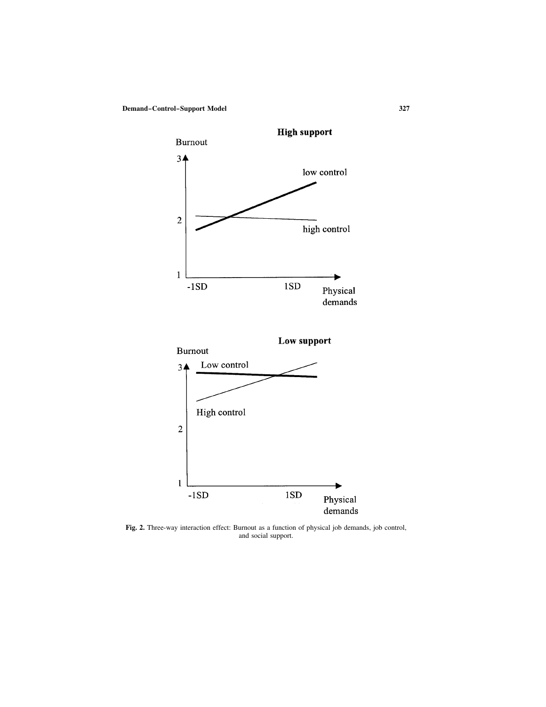

 ${\tt demands}$ 

**Fig. 2.** Three-way interaction effect: Burnout as a function of physical job demands, job control, and social support.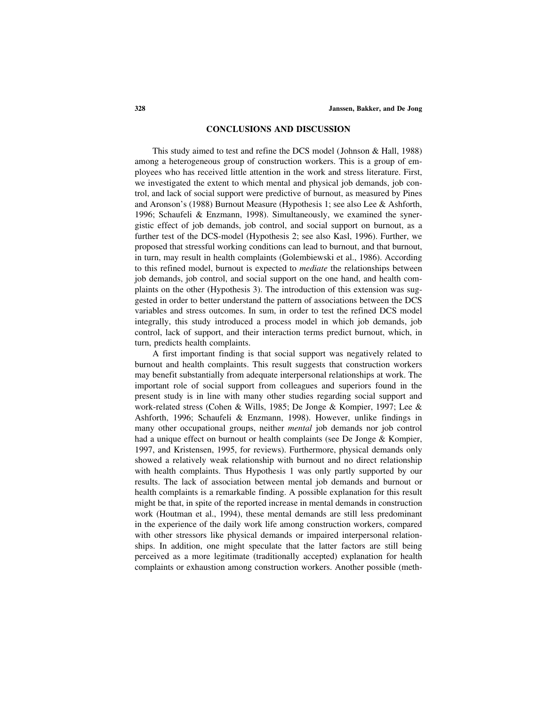## **CONCLUSIONS AND DISCUSSION**

This study aimed to test and refine the DCS model (Johnson & Hall, 1988) among a heterogeneous group of construction workers. This is a group of employees who has received little attention in the work and stress literature. First, we investigated the extent to which mental and physical job demands, job control, and lack of social support were predictive of burnout, as measured by Pines and Aronson's (1988) Burnout Measure (Hypothesis 1; see also Lee & Ashforth, 1996; Schaufeli & Enzmann, 1998). Simultaneously, we examined the synergistic effect of job demands, job control, and social support on burnout, as a further test of the DCS-model (Hypothesis 2; see also Kasl, 1996). Further, we proposed that stressful working conditions can lead to burnout, and that burnout, in turn, may result in health complaints (Golembiewski et al., 1986). According to this refined model, burnout is expected to *mediate* the relationships between job demands, job control, and social support on the one hand, and health complaints on the other (Hypothesis 3). The introduction of this extension was suggested in order to better understand the pattern of associations between the DCS variables and stress outcomes. In sum, in order to test the refined DCS model integrally, this study introduced a process model in which job demands, job control, lack of support, and their interaction terms predict burnout, which, in turn, predicts health complaints.

A first important finding is that social support was negatively related to burnout and health complaints. This result suggests that construction workers may benefit substantially from adequate interpersonal relationships at work. The important role of social support from colleagues and superiors found in the present study is in line with many other studies regarding social support and work-related stress (Cohen & Wills, 1985; De Jonge & Kompier, 1997; Lee & Ashforth, 1996; Schaufeli & Enzmann, 1998). However, unlike findings in many other occupational groups, neither *mental* job demands nor job control had a unique effect on burnout or health complaints (see De Jonge & Kompier, 1997, and Kristensen, 1995, for reviews). Furthermore, physical demands only showed a relatively weak relationship with burnout and no direct relationship with health complaints. Thus Hypothesis 1 was only partly supported by our results. The lack of association between mental job demands and burnout or health complaints is a remarkable finding. A possible explanation for this result might be that, in spite of the reported increase in mental demands in construction work (Houtman et al., 1994), these mental demands are still less predominant in the experience of the daily work life among construction workers, compared with other stressors like physical demands or impaired interpersonal relationships. In addition, one might speculate that the latter factors are still being perceived as a more legitimate (traditionally accepted) explanation for health complaints or exhaustion among construction workers. Another possible (meth-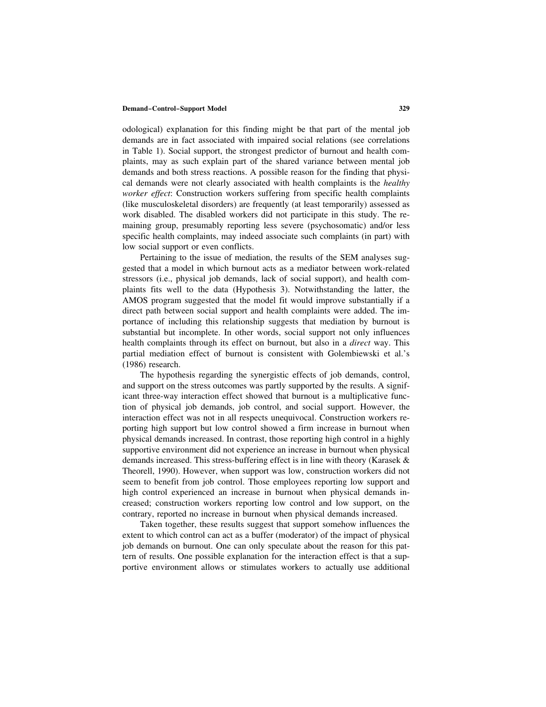odological) explanation for this finding might be that part of the mental job demands are in fact associated with impaired social relations (see correlations in Table 1). Social support, the strongest predictor of burnout and health complaints, may as such explain part of the shared variance between mental job demands and both stress reactions. A possible reason for the finding that physical demands were not clearly associated with health complaints is the *healthy worker effect*: Construction workers suffering from specific health complaints (like musculoskeletal disorders) are frequently (at least temporarily) assessed as work disabled. The disabled workers did not participate in this study. The remaining group, presumably reporting less severe (psychosomatic) and/or less specific health complaints, may indeed associate such complaints (in part) with low social support or even conflicts.

Pertaining to the issue of mediation, the results of the SEM analyses suggested that a model in which burnout acts as a mediator between work-related stressors (i.e., physical job demands, lack of social support), and health complaints fits well to the data (Hypothesis 3). Notwithstanding the latter, the AMOS program suggested that the model fit would improve substantially if a direct path between social support and health complaints were added. The importance of including this relationship suggests that mediation by burnout is substantial but incomplete. In other words, social support not only influences health complaints through its effect on burnout, but also in a *direct* way. This partial mediation effect of burnout is consistent with Golembiewski et al.'s (1986) research.

The hypothesis regarding the synergistic effects of job demands, control, and support on the stress outcomes was partly supported by the results. A significant three-way interaction effect showed that burnout is a multiplicative function of physical job demands, job control, and social support. However, the interaction effect was not in all respects unequivocal. Construction workers reporting high support but low control showed a firm increase in burnout when physical demands increased. In contrast, those reporting high control in a highly supportive environment did not experience an increase in burnout when physical demands increased. This stress-buffering effect is in line with theory (Karasek & Theorell, 1990). However, when support was low, construction workers did not seem to benefit from job control. Those employees reporting low support and high control experienced an increase in burnout when physical demands increased; construction workers reporting low control and low support, on the contrary, reported no increase in burnout when physical demands increased.

Taken together, these results suggest that support somehow influences the extent to which control can act as a buffer (moderator) of the impact of physical job demands on burnout. One can only speculate about the reason for this pattern of results. One possible explanation for the interaction effect is that a supportive environment allows or stimulates workers to actually use additional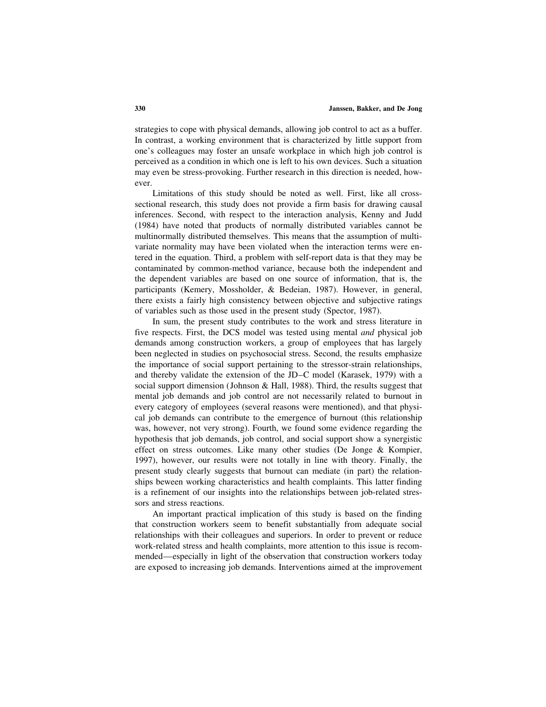strategies to cope with physical demands, allowing job control to act as a buffer. In contrast, a working environment that is characterized by little support from one's colleagues may foster an unsafe workplace in which high job control is perceived as a condition in which one is left to his own devices. Such a situation may even be stress-provoking. Further research in this direction is needed, however.

Limitations of this study should be noted as well. First, like all crosssectional research, this study does not provide a firm basis for drawing causal inferences. Second, with respect to the interaction analysis, Kenny and Judd (1984) have noted that products of normally distributed variables cannot be multinormally distributed themselves. This means that the assumption of multivariate normality may have been violated when the interaction terms were entered in the equation. Third, a problem with self-report data is that they may be contaminated by common-method variance, because both the independent and the dependent variables are based on one source of information, that is, the participants (Kemery, Mossholder, & Bedeian, 1987). However, in general, there exists a fairly high consistency between objective and subjective ratings of variables such as those used in the present study (Spector, 1987).

In sum, the present study contributes to the work and stress literature in five respects. First, the DCS model was tested using mental *and* physical job demands among construction workers, a group of employees that has largely been neglected in studies on psychosocial stress. Second, the results emphasize the importance of social support pertaining to the stressor-strain relationships, and thereby validate the extension of the JD–C model (Karasek, 1979) with a social support dimension (Johnson & Hall, 1988). Third, the results suggest that mental job demands and job control are not necessarily related to burnout in every category of employees (several reasons were mentioned), and that physical job demands can contribute to the emergence of burnout (this relationship was, however, not very strong). Fourth, we found some evidence regarding the hypothesis that job demands, job control, and social support show a synergistic effect on stress outcomes. Like many other studies (De Jonge & Kompier, 1997), however, our results were not totally in line with theory. Finally, the present study clearly suggests that burnout can mediate (in part) the relationships beween working characteristics and health complaints. This latter finding is a refinement of our insights into the relationships between job-related stressors and stress reactions.

An important practical implication of this study is based on the finding that construction workers seem to benefit substantially from adequate social relationships with their colleagues and superiors. In order to prevent or reduce work-related stress and health complaints, more attention to this issue is recommended—especially in light of the observation that construction workers today are exposed to increasing job demands. Interventions aimed at the improvement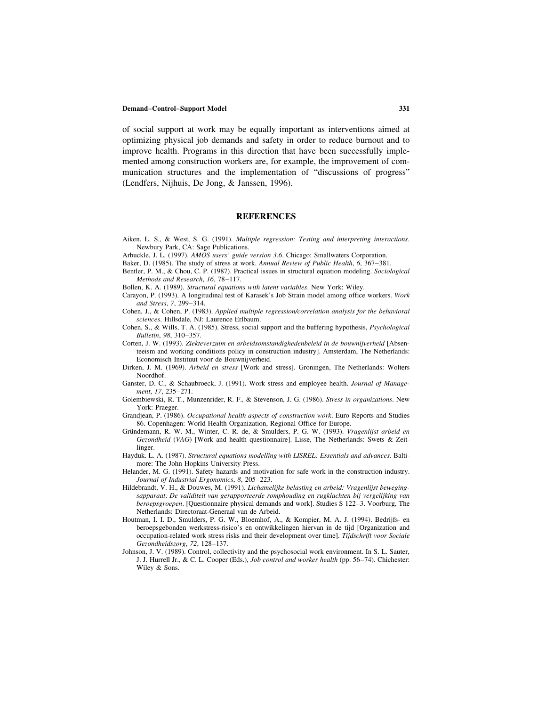of social support at work may be equally important as interventions aimed at optimizing physical job demands and safety in order to reduce burnout and to improve health. Programs in this direction that have been successfully implemented among construction workers are, for example, the improvement of communication structures and the implementation of "discussions of progress" (Lendfers, Nijhuis, De Jong, & Janssen, 1996).

# **REFERENCES**

- Aiken, L. S., & West, S. G. (1991). *Multiple regression: Testing and interpreting interactions*. Newbury Park, CA: Sage Publications.
- Arbuckle, J. L. (1997). *AMOS users' guide version 3*.*6*. Chicago: Smallwaters Corporation.
- Baker, D. (1985). The study of stress at work. *Annual Review of Public Health*, *6*, 367–381.
- Bentler, P. M., & Chou, C. P. (1987). Practical issues in structural equation modeling. *Sociological Methods and Research*, *16*, 78–117.

Bollen, K. A. (1989). *Structural equations with latent variables*. New York: Wiley.

- Carayon, P. (1993). A longitudinal test of Karasek's Job Strain model among office workers. *Work and Stress*, *7*, 299–314.
- Cohen, J., & Cohen, P. (1983). *Applied multiple regression/correlation analysis for the behavioral sciences*. Hillsdale, NJ: Laurence Erlbaum.
- Cohen, S., & Wills, T. A. (1985). Stress, social support and the buffering hypothesis, *Psychological Bulletin*, *98*, 310–357.
- Corten, J. W. (1993). *Ziekteverzuim en arbeidsomstandighedenbeleid in de bouwnijverheid* [Absenteeism and working conditions policy in construction industry]. Amsterdam, The Netherlands: Economisch Instituut voor de Bouwnijverheid.
- Dirken, J. M. (1969). *Arbeid en stress* [Work and stress]. Groningen, The Netherlands: Wolters Noordhof.
- Ganster, D. C., & Schaubroeck, J. (1991). Work stress and employee health. *Journal of Management*, *17*, 235–271.
- Golembiewski, R. T., Munzenrider, R. F., & Stevenson, J. G. (1986). *Stress in organizations*. New York: Praeger.
- Grandjean, P. (1986). *Occupational health aspects of construction work*. Euro Reports and Studies 86. Copenhagen: World Health Organization, Regional Office for Europe.
- Gru¨ndemann, R. W. M., Winter, C. R. de, & Smulders, P. G. W. (1993). *Vragenlijst arbeid en Gezondheid* (*VAG*) [Work and health questionnaire]. Lisse, The Netherlands: Swets & Zeitlinger.
- Hayduk. L. A. (1987). *Structural equations modelling with LISREL: Essentials and advances*. Baltimore: The John Hopkins University Press.
- Helander, M. G. (1991). Safety hazards and motivation for safe work in the construction industry. *Journal of Industrial Ergonomics*, *8*, 205–223.
- Hildebrandt, V. H., & Douwes, M. (1991). *Lichamelijke belasting en arbeid: Vragenlijst bewegingsapparaat*. *De validiteit van gerapporteerde romphouding en rugklachten bij vergelijking van beroepsgroepen*. [Questionnaire physical demands and work]. Studies S 122–3. Voorburg, The Netherlands: Directoraat-Generaal van de Arbeid.
- Houtman, I. I. D., Smulders, P. G. W., Bloemhof, A., & Kompier, M. A. J. (1994). Bedrijfs- en beroepsgebonden werkstress-risico's en ontwikkelingen hiervan in de tijd [Organization and occupation-related work stress risks and their development over time]. *Tijdschrift voor Sociale Gezondheidszorg*, *72*, 128–137.
- Johnson, J. V. (1989). Control, collectivity and the psychosocial work environment. In S. L. Sauter, J. J. Hurrell Jr., & C. L. Cooper (Eds.), *Job control and worker health* (pp. 56–74). Chichester: Wiley & Sons.